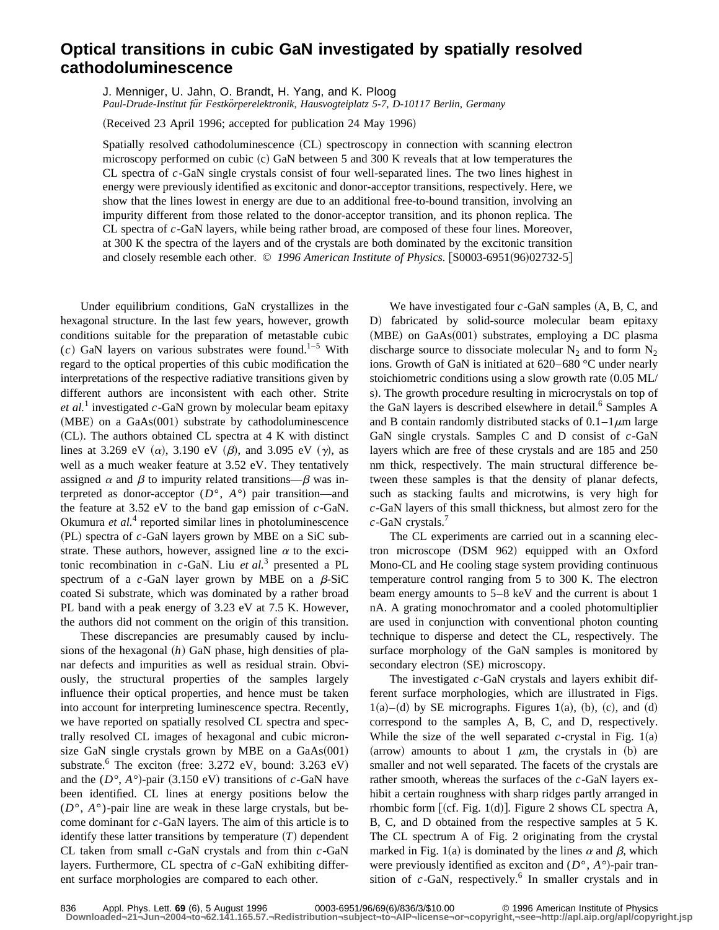## **Optical transitions in cubic GaN investigated by spatially resolved cathodoluminescence**

J. Menniger, U. Jahn, O. Brandt, H. Yang, and K. Ploog *Paul-Drude-Institut fu¨r Festko¨rperelektronik, Hausvogteiplatz 5-7, D-10117 Berlin, Germany*

(Received 23 April 1996; accepted for publication 24 May 1996)

Spatially resolved cathodoluminescence (CL) spectroscopy in connection with scanning electron microscopy performed on cubic (c) GaN between 5 and 300 K reveals that at low temperatures the CL spectra of *c*-GaN single crystals consist of four well-separated lines. The two lines highest in energy were previously identified as excitonic and donor-acceptor transitions, respectively. Here, we show that the lines lowest in energy are due to an additional free-to-bound transition, involving an impurity different from those related to the donor-acceptor transition, and its phonon replica. The CL spectra of *c*-GaN layers, while being rather broad, are composed of these four lines. Moreover, at 300 K the spectra of the layers and of the crystals are both dominated by the excitonic transition and closely resemble each other. © 1996 American Institute of Physics. [S0003-6951(96)02732-5]

Under equilibrium conditions, GaN crystallizes in the hexagonal structure. In the last few years, however, growth conditions suitable for the preparation of metastable cubic  $(c)$  GaN layers on various substrates were found.<sup>1–5</sup> With regard to the optical properties of this cubic modification the interpretations of the respective radiative transitions given by different authors are inconsistent with each other. Strite *et al.*<sup>1</sup> investigated  $c$ -GaN grown by molecular beam epitaxy  $(MBE)$  on a GaAs $(001)$  substrate by cathodoluminescence  $(CL)$ . The authors obtained CL spectra at 4 K with distinct lines at 3.269 eV  $(\alpha)$ , 3.190 eV  $(\beta)$ , and 3.095 eV  $(\gamma)$ , as well as a much weaker feature at 3.52 eV. They tentatively assigned  $\alpha$  and  $\beta$  to impurity related transitions— $\beta$  was interpreted as donor-acceptor  $(D^{\circ}, A^{\circ})$  pair transition—and the feature at 3.52 eV to the band gap emission of *c*-GaN. Okumura *et al.*<sup>4</sup> reported similar lines in photoluminescence (PL) spectra of *c*-GaN layers grown by MBE on a SiC substrate. These authors, however, assigned line  $\alpha$  to the excitonic recombination in *c*-GaN. Liu *et al.*<sup>3</sup> presented a PL spectrum of a  $c$ -GaN layer grown by MBE on a  $\beta$ -SiC coated Si substrate, which was dominated by a rather broad PL band with a peak energy of 3.23 eV at 7.5 K. However, the authors did not comment on the origin of this transition.

These discrepancies are presumably caused by inclusions of the hexagonal (h) GaN phase, high densities of planar defects and impurities as well as residual strain. Obviously, the structural properties of the samples largely influence their optical properties, and hence must be taken into account for interpreting luminescence spectra. Recently, we have reported on spatially resolved CL spectra and spectrally resolved CL images of hexagonal and cubic micronsize GaN single crystals grown by MBE on a  $GaAs(001)$ substrate.<sup>6</sup> The exciton (free:  $3.272$  eV, bound:  $3.263$  eV) and the  $(D^{\circ}, A^{\circ})$ -pair (3.150 eV) transitions of *c*-GaN have been identified. CL lines at energy positions below the  $(D^{\circ}, A^{\circ})$ -pair line are weak in these large crystals, but become dominant for *c*-GaN layers. The aim of this article is to identify these latter transitions by temperature  $(T)$  dependent CL taken from small *c*-GaN crystals and from thin *c*-GaN layers. Furthermore, CL spectra of *c*-GaN exhibiting different surface morphologies are compared to each other.

We have investigated four  $c$ -GaN samples  $(A, B, C, and)$ D) fabricated by solid-source molecular beam epitaxy  $(MBE)$  on GaAs $(001)$  substrates, employing a DC plasma discharge source to dissociate molecular  $N_2$  and to form  $N_2$ ions. Growth of GaN is initiated at 620–680 °C under nearly stoichiometric conditions using a slow growth rate  $(0.05$  ML/ s). The growth procedure resulting in microcrystals on top of the GaN layers is described elsewhere in detail.<sup>6</sup> Samples A and B contain randomly distributed stacks of  $0.1-1 \mu m$  large GaN single crystals. Samples C and D consist of *c*-GaN layers which are free of these crystals and are 185 and 250 nm thick, respectively. The main structural difference between these samples is that the density of planar defects, such as stacking faults and microtwins, is very high for *c*-GaN layers of this small thickness, but almost zero for the *c*-GaN crystals.<sup>7</sup>

The CL experiments are carried out in a scanning electron microscope (DSM 962) equipped with an Oxford Mono-CL and He cooling stage system providing continuous temperature control ranging from 5 to 300 K. The electron beam energy amounts to 5–8 keV and the current is about 1 nA. A grating monochromator and a cooled photomultiplier are used in conjunction with conventional photon counting technique to disperse and detect the CL, respectively. The surface morphology of the GaN samples is monitored by secondary electron (SE) microscopy.

The investigated *c*-GaN crystals and layers exhibit different surface morphologies, which are illustrated in Figs.  $1(a)$ –(d) by SE micrographs. Figures 1(a), (b), (c), and (d) correspond to the samples A, B, C, and D, respectively. While the size of the well separated  $c$ -crystal in Fig. 1(a) (arrow) amounts to about 1  $\mu$ m, the crystals in (b) are smaller and not well separated. The facets of the crystals are rather smooth, whereas the surfaces of the *c*-GaN layers exhibit a certain roughness with sharp ridges partly arranged in rhombic form  $[$  (cf. Fig. 1(d)]. Figure 2 shows CL spectra A, B, C, and D obtained from the respective samples at 5 K. The CL spectrum A of Fig. 2 originating from the crystal marked in Fig. 1(a) is dominated by the lines  $\alpha$  and  $\beta$ , which were previously identified as exciton and  $(D^{\circ}, A^{\circ})$ -pair transition of  $c$ -GaN, respectively.<sup>6</sup> In smaller crystals and in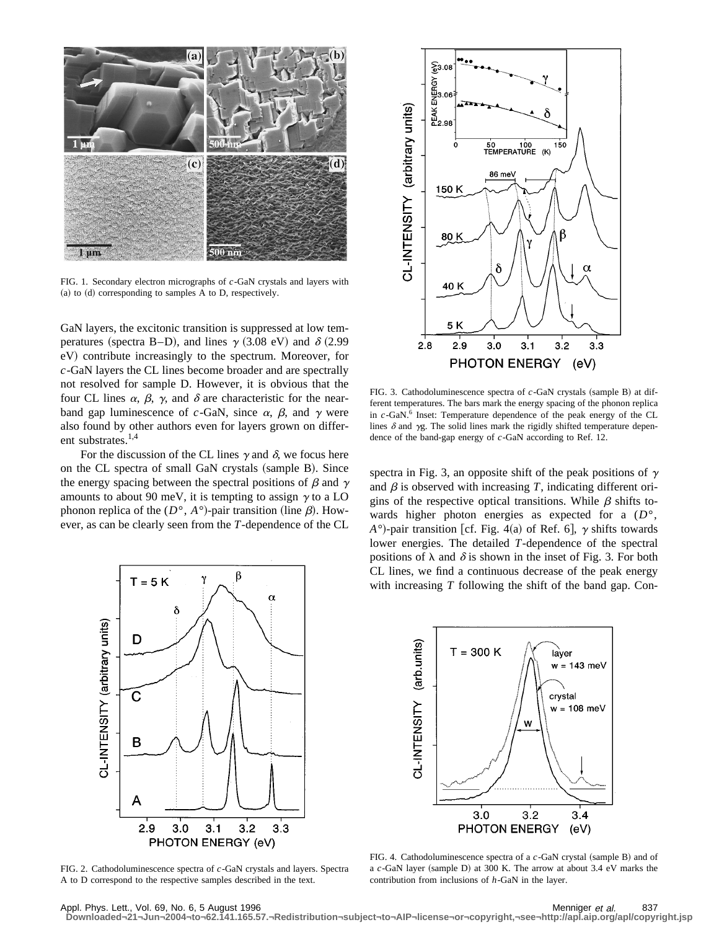

FIG. 1. Secondary electron micrographs of *c*-GaN crystals and layers with  $(a)$  to  $(d)$  corresponding to samples A to D, respectively.

GaN layers, the excitonic transition is suppressed at low temperatures (spectra B–D), and lines  $\gamma$  (3.08 eV) and  $\delta$  (2.99 eV) contribute increasingly to the spectrum. Moreover, for *c*-GaN layers the CL lines become broader and are spectrally not resolved for sample D. However, it is obvious that the four CL lines  $\alpha$ ,  $\beta$ ,  $\gamma$ , and  $\delta$  are characteristic for the nearband gap luminescence of  $c$ -GaN, since  $\alpha$ ,  $\beta$ , and  $\gamma$  were also found by other authors even for layers grown on different substrates.<sup>1,4</sup>

For the discussion of the CL lines  $\gamma$  and  $\delta$ , we focus here on the CL spectra of small GaN crystals (sample B). Since the energy spacing between the spectral positions of  $\beta$  and  $\gamma$ amounts to about 90 meV, it is tempting to assign  $\gamma$  to a LO phonon replica of the  $(D^{\circ}, A^{\circ})$ -pair transition (line  $\beta$ ). However, as can be clearly seen from the *T*-dependence of the CL



FIG. 2. Cathodoluminescence spectra of *c*-GaN crystals and layers. Spectra A to D correspond to the respective samples described in the text.



FIG. 3. Cathodoluminescence spectra of *c*-GaN crystals (sample B) at different temperatures. The bars mark the energy spacing of the phonon replica in *c*-GaN.6 Inset: Temperature dependence of the peak energy of the CL lines  $\delta$  and  $\gamma$ g. The solid lines mark the rigidly shifted temperature dependence of the band-gap energy of *c*-GaN according to Ref. 12.

spectra in Fig. 3, an opposite shift of the peak positions of  $\gamma$ and  $\beta$  is observed with increasing *T*, indicating different origins of the respective optical transitions. While  $\beta$  shifts towards higher photon energies as expected for a (*D*°,  $A^{\circ}$ )-pair transition [cf. Fig. 4(a) of Ref. 6],  $\gamma$  shifts towards lower energies. The detailed *T*-dependence of the spectral positions of  $\lambda$  and  $\delta$  is shown in the inset of Fig. 3. For both CL lines, we find a continuous decrease of the peak energy with increasing *T* following the shift of the band gap. Con-



FIG. 4. Cathodoluminescence spectra of a c-GaN crystal (sample B) and of a *c*-GaN layer (sample D) at 300 K. The arrow at about 3.4 eV marks the contribution from inclusions of *h*-GaN in the layer.

Appl. Phys. Lett., Vol. 69, No. 6, 5 August 1996 Menniger et al. 837 **Downloaded¬21¬Jun¬2004¬to¬62.141.165.57.¬Redistribution¬subject¬to¬AIP¬license¬or¬copyright,¬see¬http://apl.aip.org/apl/copyright.jsp**